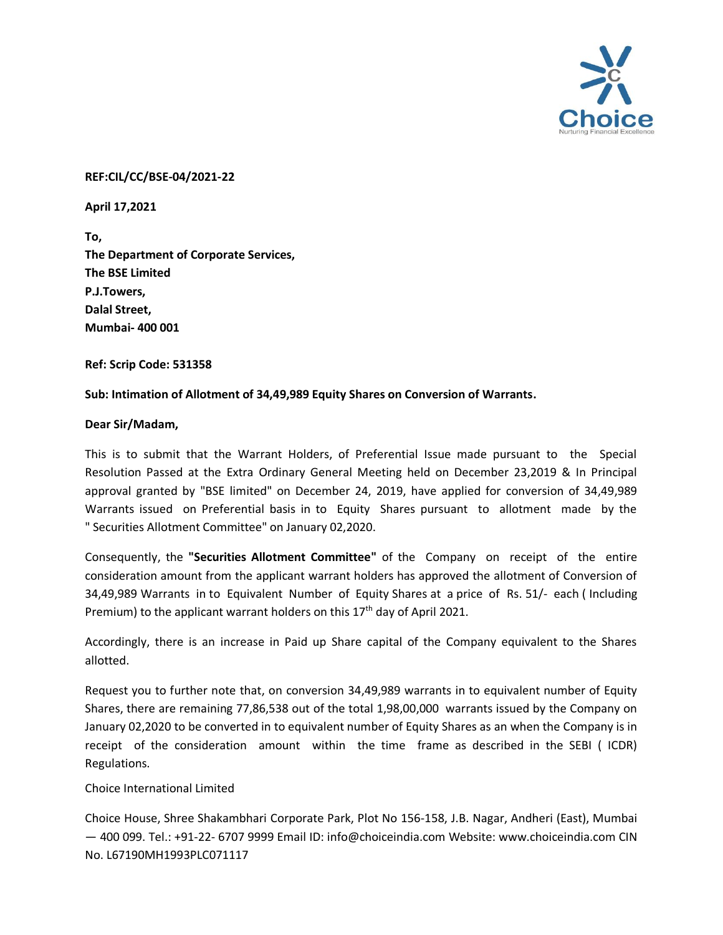

## **REF:CIL/CC/BSE-04/2021-22**

**April 17,2021**

**To, The Department of Corporate Services, The BSE Limited P.J.Towers, Dalal Street, Mumbai- 400 001**

**Ref: Scrip Code: 531358**

## **Sub: Intimation of Allotment of 34,49,989 Equity Shares on Conversion of Warrants.**

## **Dear Sir/Madam,**

This is to submit that the Warrant Holders, of Preferential Issue made pursuant to the Special Resolution Passed at the Extra Ordinary General Meeting held on December 23,2019 & In Principal approval granted by "BSE limited" on December 24, 2019, have applied for conversion of 34,49,989 Warrants issued on Preferential basis in to Equity Shares pursuant to allotment made by the " Securities Allotment Committee" on January 02,2020.

Consequently, the **"Securities Allotment Committee"** of the Company on receipt of the entire consideration amount from the applicant warrant holders has approved the allotment of Conversion of 34,49,989 Warrants in to Equivalent Number of Equity Shares at a price of Rs. 51/- each ( Including Premium) to the applicant warrant holders on this 17<sup>th</sup> day of April 2021.

Accordingly, there is an increase in Paid up Share capital of the Company equivalent to the Shares allotted.

Request you to further note that, on conversion 34,49,989 warrants in to equivalent number of Equity Shares, there are remaining 77,86,538 out of the total 1,98,00,000 warrants issued by the Company on January 02,2020 to be converted in to equivalent number of Equity Shares as an when the Company is in receipt of the consideration amount within the time frame as described in the SEBI ( ICDR) Regulations.

## Choice International Limited

Choice House, Shree Shakambhari Corporate Park, Plot No 156-158, J.B. Nagar, Andheri (East), Mumbai — 400 099. Tel.: +91-22- 6707 9999 Email ID: info@choiceindia.com Website: www.choiceindia.com CIN No. L67190MH1993PLC071117